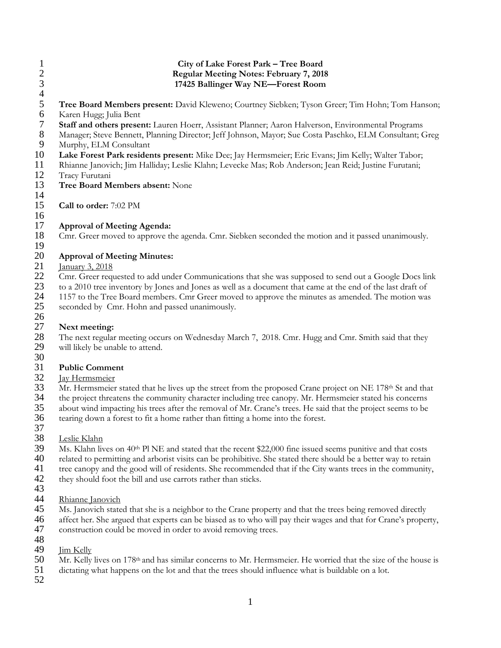- 1 **City of Lake Forest Park Tree Board**<br>2 **Regular Meeting Notes: February 7, 201** 2 **Regular Meeting Notes: February 7, 2018** 3 **17425 Ballinger Way NE—Forest Room**  $\frac{4}{5}$ **5 Tree Board Members present:** David Kleweno; Courtney Siebken; Tyson Greer; Tim Hohn; Tom Hanson; Karen Hugg; Julia Bent 6 Karen Hugg; Julia Bent 7 **Staff and others present:** Lauren Hoerr, Assistant Planner; Aaron Halverson, Environmental Programs 8 Manager; Steve Bennett, Planning Director; Jeff Johnson, Mayor; Sue Costa Paschko, ELM Consultant; Greg 9 Murphy, ELM Consultant<br>10 Lake Forest Park resider 10 **Lake Forest Park residents present:** Mike Dee; Jay Hermsmeier; Eric Evans; Jim Kelly; Walter Tabor; 11 Rhianne Janovich; Jim Halliday; Leslie Klahn; Levecke Mas; Rob Anderson; Jean Reid; Justine Furutani; 12 Tracy Furutani<br>13 Tree Board M 13 **Tree Board Members absent:** None 14 15 **Call to order:** 7:02 PM 16 17 **Approval of Meeting Agenda:** Cmr. Greer moved to approve the agenda. Cmr. Siebken seconded the motion and it passed unanimously.
- 19

#### 20 **Approval of Meeting Minutes:**

 $\frac{21}{22}$  January 3, 2018

22 Cmr. Greer requested to add under Communications that she was supposed to send out a Google Docs link 23 to a 2010 tree inventory by Jones and Jones as well as a document that came at the end of the last draft of<br>24 1157 to the Tree Board members. Cmr Greer moved to approve the minutes as amended. The motion was 24 1157 to the Tree Board members. Cmr Greer moved to approve the minutes as amended. The motion was seconded by Cmr. Hohn and passed unanimously. seconded by Cmr. Hohn and passed unanimously.

# 27 **Next meeting:**

28 The next regular meeting occurs on Wednesday March 7, 2018. Cmr. Hugg and Cmr. Smith said that they will likely be unable to attend. will likely be unable to attend.

30

26

## 31 **Public Comment**

32 Jay Hermsmeier<br>33 Mr. Hermsmeier

33 Mr. Hermsmeier stated that he lives up the street from the proposed Crane project on NE 178<sup>th</sup> St and that the project threatens the community character including tree canopy. Mr. Hermsmeier stated his concerns the project threatens the community character including tree canopy. Mr. Hermsmeier stated his concerns

- 35 about wind impacting his trees after the removal of Mr. Crane's trees. He said that the project seems to be tearing down a forest to fit a home rather than fitting a home into the forest. tearing down a forest to fit a home rather than fitting a home into the forest.
- 37
- 38 Leslie Klahn

39 Ms. Klahn lives on 40<sup>th</sup> Pl NE and stated that the recent \$22,000 fine issued seems punitive and that costs<br>40 related to permitting and arborist visits can be prohibitive. She stated there should be a better way to re

related to permitting and arborist visits can be prohibitive. She stated there should be a better way to retain

41 tree canopy and the good will of residents. She recommended that if the City wants trees in the community, they should foot the bill and use carrots rather than sticks.

- they should foot the bill and use carrots rather than sticks.
- 43
- 44 Rhianne Janovich<br>45 Ms. Janovich state
- 45 Ms. Janovich stated that she is a neighbor to the Crane property and that the trees being removed directly<br>46 affect her. She argued that experts can be biased as to who will pay their wages and that for Crane's proper
- 46 affect her. She argued that experts can be biased as to who will pay their wages and that for Crane's property,
- 47 construction could be moved in order to avoid removing trees.
- 48<br>49 **Jim Kelly**
- 50 Mr. Kelly lives on 178<sup>th</sup> and has similar concerns to Mr. Hermsmeier. He worried that the size of the house is
- 51 dictating what happens on the lot and that the trees should influence what is buildable on a lot.
- 52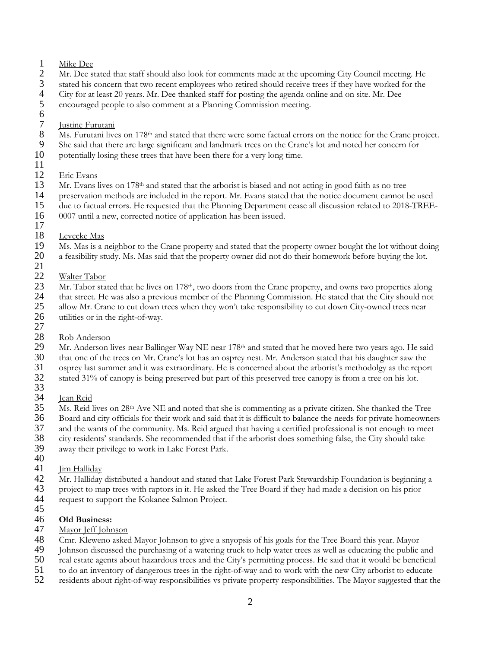- $\frac{1}{2}$  Mike Dee
- 
- 2 Mr. Dee stated that staff should also look for comments made at the upcoming City Council meeting. He stated his concern that two recent employees who retired should receive trees if they have worked for the 3 stated his concern that two recent employees who retired should receive trees if they have worked for the 4 City for at least 20 years. Mr. Dee thanked staff for posting the agenda online and on site. Mr. Dee
- 4 City for at least 20 years. Mr. Dee thanked staff for posting the agenda online and on site. Mr. Dee
- 5 encouraged people to also comment at a Planning Commission meeting.
- $rac{6}{7}$

## 7 Justine Furutani<br>8 Ms. Furutani live

- Ms. Furutani lives on 178<sup>th</sup> and stated that there were some factual errors on the notice for the Crane project.<br>9 She said that there are large significant and landmark trees on the Crane's lot and noted her concern for
- 9 She said that there are large significant and landmark trees on the Crane's lot and noted her concern for<br>10 potentially losing these trees that have been there for a very long time.
- potentially losing these trees that have been there for a very long time.
- 11
- 12 Eric Evans<br>13 Mr. Evans l
- 13 Mr. Evans lives on  $178<sup>th</sup>$  and stated that the arborist is biased and not acting in good faith as no tree<br>14 between methods are included in the report. Mr. Evans stated that the notice document cannot
- 14 preservation methods are included in the report. Mr. Evans stated that the notice document cannot be used
- 15 due to factual errors. He requested that the Planning Department cease all discussion related to 2018-TREE-<br>16 0007 until a new, corrected notice of application has been issued.
- 16 0007 until a new, corrected notice of application has been issued. 17
- 
- 18 Levecke Mas<br>19 Ms. Mas is a r 19 Ms. Mas is a neighbor to the Crane property and stated that the property owner bought the lot without doing<br>20 a feasibility study. Ms. Mas said that the property owner did not do their homework before buying the lot. a feasibility study. Ms. Mas said that the property owner did not do their homework before buying the lot.
- $\frac{21}{22}$ 
	- Walter Tabor
- 23 Mr. Tabor stated that he lives on 178<sup>th</sup>, two doors from the Crane property, and owns two properties along<br>24 that street. He was also a previous member of the Planning Commission. He stated that the City should not 24 that street. He was also a previous member of the Planning Commission. He stated that the City should not<br>25 allow Mr. Crane to cut down trees when they won't take responsibility to cut down City-owned trees near 25 allow Mr. Crane to cut down trees when they won't take responsibility to cut down City-owned trees near 26 utilities or in the right-of-way.
- utilities or in the right-of-way. 27
- 
- 28 <u>Rob Anderson</u><br>29 Mr. Anderson l 29 Mr. Anderson lives near Ballinger Way NE near  $178<sup>th</sup>$  and stated that he moved here two years ago. He said  $30$  that one of the trees on Mr. Crane's lot has an osprev nest. Mr. Anderson stated that his daughter sa that one of the trees on Mr. Crane's lot has an osprey nest. Mr. Anderson stated that his daughter saw the
- 31 osprey last summer and it was extraordinary. He is concerned about the arborist's methodolgy as the report<br>32 stated 31% of canopy is being preserved but part of this preserved tree canopy is from a tree on his lot. stated 31% of canopy is being preserved but part of this preserved tree canopy is from a tree on his lot.
- 33<br>34
- 34 <u>Jean Reid</u><br>35 Ms. Reid l  $35$  Ms. Reid lives on  $28<sup>th</sup>$  Ave NE and noted that she is commenting as a private citizen. She thanked the Tree Board and city officials for their work and said that it is difficult to balance the needs for private
- 36 Board and city officials for their work and said that it is difficult to balance the needs for private homeowners<br>37 and the wants of the community. Ms. Reid argued that having a certified professional is not enough to
- 37 and the wants of the community. Ms. Reid argued that having a certified professional is not enough to meet<br>38 city residents' standards. She recommended that if the arborist does something false, the City should take
- city residents' standards. She recommended that if the arborist does something false, the City should take 39 away their privilege to work in Lake Forest Park.
- 40<br>41
- 41 <u>Jim Halliday</u><br>42 Mr. Halliday Mr. Halliday distributed a handout and stated that Lake Forest Park Stewardship Foundation is beginning a 43 project to map trees with raptors in it. He asked the Tree Board if they had made a decision on his prior request to support the Kokanee Salmon Project. request to support the Kokanee Salmon Project.
- 45

### 46 **Old Business:**

- 47 Mayor Jeff Johnson<br>48 Cmr. Kleweno asked
- 48 Cmr. Kleweno asked Mayor Johnson to give a snyopsis of his goals for the Tree Board this year. Mayor<br>49 Johnson discussed the purchasing of a watering truck to help water trees as well as educating the public
- 49 Johnson discussed the purchasing of a watering truck to help water trees as well as educating the public and<br>50 real estate agents about hazardous trees and the City's permitting process. He said that it would be benefi
- 50 real estate agents about hazardous trees and the City's permitting process. He said that it would be beneficial
- 51 to do an inventory of dangerous trees in the right-of-way and to work with the new City arborist to educate<br>52 residents about right-of-way responsibilities vs private property responsibilities. The Mayor suggested that
- 52 residents about right-of-way responsibilities vs private property responsibilities. The Mayor suggested that the